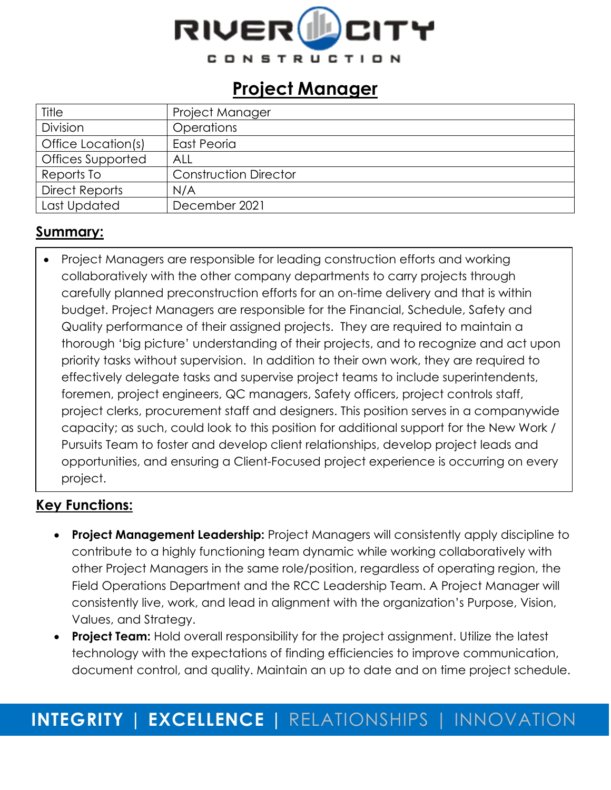

## **Project Manager**

| Title                 | Project Manager              |
|-----------------------|------------------------------|
| Division              | <b>Operations</b>            |
| Office Location(s)    | East Peoria                  |
| Offices Supported     | ALL                          |
| Reports To            | <b>Construction Director</b> |
| <b>Direct Reports</b> | N/A                          |
| Last Updated          | December 2021                |

### **Summary:**

• Project Managers are responsible for leading construction efforts and working collaboratively with the other company departments to carry projects through carefully planned preconstruction efforts for an on-time delivery and that is within budget. Project Managers are responsible for the Financial, Schedule, Safety and Quality performance of their assigned projects. They are required to maintain a thorough 'big picture' understanding of their projects, and to recognize and act upon priority tasks without supervision. In addition to their own work, they are required to effectively delegate tasks and supervise project teams to include superintendents, foremen, project engineers, QC managers, Safety officers, project controls staff, project clerks, procurement staff and designers. This position serves in a companywide capacity; as such, could look to this position for additional support for the New Work / Pursuits Team to foster and develop client relationships, develop project leads and opportunities, and ensuring a Client-Focused project experience is occurring on every project.

### **Key Functions:**

- **Project Management Leadership:** Project Managers will consistently apply discipline to contribute to a highly functioning team dynamic while working collaboratively with other Project Managers in the same role/position, regardless of operating region, the Field Operations Department and the RCC Leadership Team. A Project Manager will consistently live, work, and lead in alignment with the organization's Purpose, Vision, Values, and Strategy.
- **Project Team:** Hold overall responsibility for the project assignment. Utilize the latest technology with the expectations of finding efficiencies to improve communication, document control, and quality. Maintain an up to date and on time project schedule.

## **INTEGRITY | EXCELLENCE |** RELATIONSHIPS | INNOVATION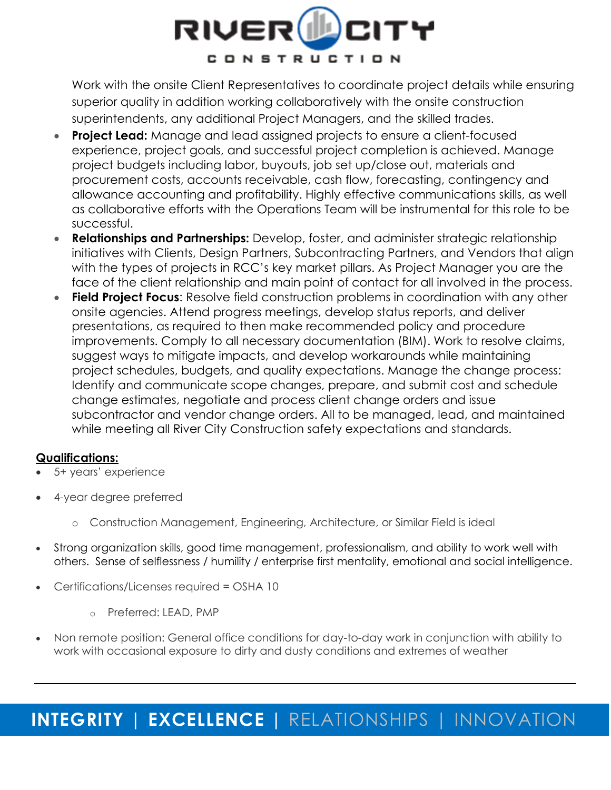

Work with the onsite Client Representatives to coordinate project details while ensuring superior quality in addition working collaboratively with the onsite construction superintendents, any additional Project Managers, and the skilled trades.

- **Project Lead:** Manage and lead assigned projects to ensure a client-focused experience, project goals, and successful project completion is achieved. Manage project budgets including labor, buyouts, job set up/close out, materials and procurement costs, accounts receivable, cash flow, forecasting, contingency and allowance accounting and profitability. Highly effective communications skills, as well as collaborative efforts with the Operations Team will be instrumental for this role to be successful.
- **Relationships and Partnerships:** Develop, foster, and administer strategic relationship initiatives with Clients, Design Partners, Subcontracting Partners, and Vendors that align with the types of projects in RCC's key market pillars. As Project Manager you are the face of the client relationship and main point of contact for all involved in the process.
- **Field Project Focus:** Resolve field construction problems in coordination with any other onsite agencies. Attend progress meetings, develop status reports, and deliver presentations, as required to then make recommended policy and procedure improvements. Comply to all necessary documentation (BIM). Work to resolve claims, suggest ways to mitigate impacts, and develop workarounds while maintaining project schedules, budgets, and quality expectations. Manage the change process: Identify and communicate scope changes, prepare, and submit cost and schedule change estimates, negotiate and process client change orders and issue subcontractor and vendor change orders. All to be managed, lead, and maintained while meeting all River City Construction safety expectations and standards.

#### **Qualifications:**

- 5+ years' experience
- 4-year degree preferred
	- o Construction Management, Engineering, Architecture, or Similar Field is ideal
- Strong organization skills, good time management, professionalism, and ability to work well with others. Sense of selflessness / humility / enterprise first mentality, emotional and social intelligence.
- Certifications/Licenses required = OSHA 10
	- o Preferred: LEAD, PMP
- Non remote position: General office conditions for day-to-day work in conjunction with ability to work with occasional exposure to dirty and dusty conditions and extremes of weather

# **INTEGRITY | EXCELLENCE |** RELATIONSHIPS | INNOVATION